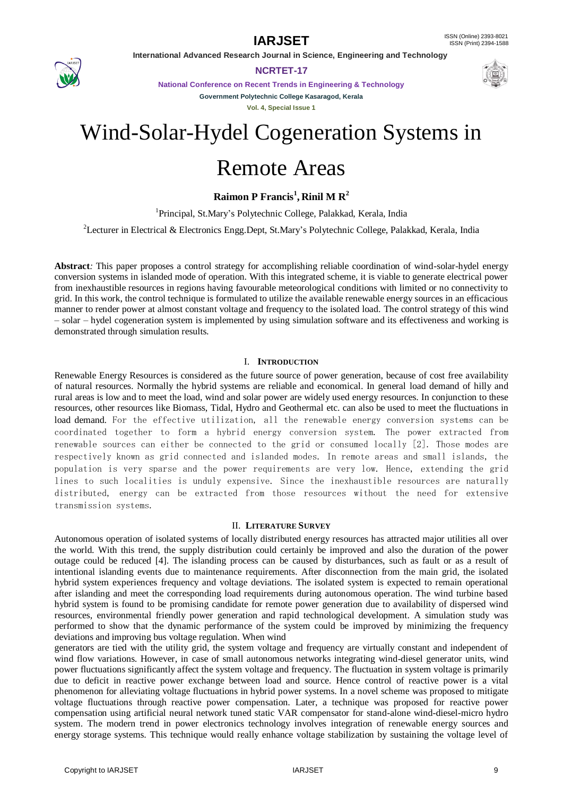

**NCRTET-17**

**National Conference on Recent Trends in Engineering & Technology Government Polytechnic College Kasaragod, Kerala**

**Vol. 4, Special Issue 1**

# Wind-Solar-Hydel Cogeneration Systems in

# Remote Areas

**Raimon P Francis<sup>1</sup> , Rinil M R<sup>2</sup>**

<sup>1</sup>Principal, St.Mary's Polytechnic College, Palakkad, Kerala, India

<sup>2</sup>Lecturer in Electrical & Electronics Engg.Dept, St.Mary's Polytechnic College, Palakkad, Kerala, India

**Abstract***:* This paper proposes a control strategy for accomplishing reliable coordination of wind-solar-hydel energy conversion systems in islanded mode of operation. With this integrated scheme, it is viable to generate electrical power from inexhaustible resources in regions having favourable meteorological conditions with limited or no connectivity to grid. In this work, the control technique is formulated to utilize the available renewable energy sources in an efficacious manner to render power at almost constant voltage and frequency to the isolated load. The control strategy of this wind – solar – hydel cogeneration system is implemented by using simulation software and its effectiveness and working is demonstrated through simulation results.

# I. **INTRODUCTION**

Renewable Energy Resources is considered as the future source of power generation, because of cost free availability of natural resources. Normally the hybrid systems are reliable and economical. In general load demand of hilly and rural areas is low and to meet the load, wind and solar power are widely used energy resources. In conjunction to these resources, other resources like Biomass, Tidal, Hydro and Geothermal etc. can also be used to meet the fluctuations in load demand. For the effective utilization, all the renewable energy conversion systems can be coordinated together to form a hybrid energy conversion system. The power extracted from renewable sources can either be connected to the grid or consumed locally [2]. Those modes are respectively known as grid connected and islanded modes. In remote areas and small islands, the population is very sparse and the power requirements are very low. Hence, extending the grid lines to such localities is unduly expensive. Since the inexhaustible resources are naturally distributed, energy can be extracted from those resources without the need for extensive transmission systems.

# II. **LITERATURE SURVEY**

Autonomous operation of isolated systems of locally distributed energy resources has attracted major utilities all over the world. With this trend, the supply distribution could certainly be improved and also the duration of the power outage could be reduced [4]. The islanding process can be caused by disturbances, such as fault or as a result of intentional islanding events due to maintenance requirements. After disconnection from the main grid, the isolated hybrid system experiences frequency and voltage deviations. The isolated system is expected to remain operational after islanding and meet the corresponding load requirements during autonomous operation. The wind turbine based hybrid system is found to be promising candidate for remote power generation due to availability of dispersed wind resources, environmental friendly power generation and rapid technological development. A simulation study was performed to show that the dynamic performance of the system could be improved by minimizing the frequency deviations and improving bus voltage regulation. When wind

generators are tied with the utility grid, the system voltage and frequency are virtually constant and independent of wind flow variations. However, in case of small autonomous networks integrating wind-diesel generator units, wind power fluctuations significantly affect the system voltage and frequency. The fluctuation in system voltage is primarily due to deficit in reactive power exchange between load and source. Hence control of reactive power is a vital phenomenon for alleviating voltage fluctuations in hybrid power systems. In a novel scheme was proposed to mitigate voltage fluctuations through reactive power compensation. Later, a technique was proposed for reactive power compensation using artificial neural network tuned static VAR compensator for stand-alone wind-diesel-micro hydro system. The modern trend in power electronics technology involves integration of renewable energy sources and energy storage systems. This technique would really enhance voltage stabilization by sustaining the voltage level of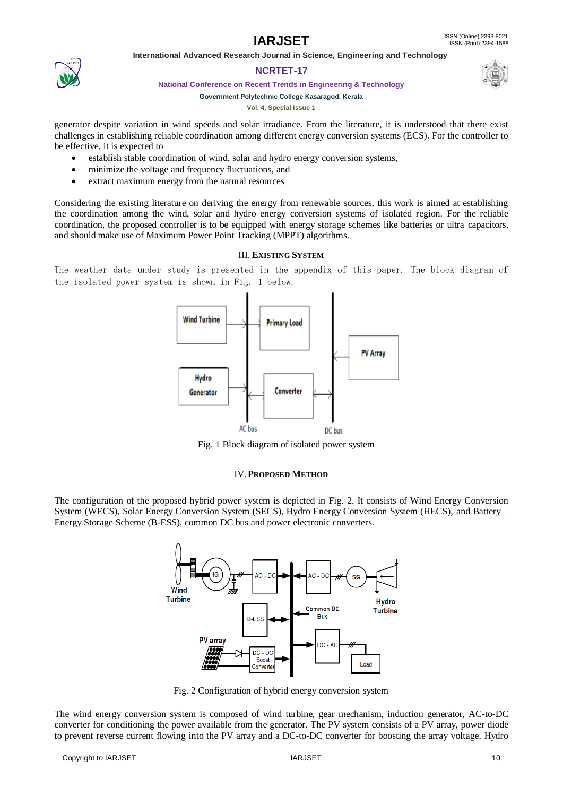# **NCRTET-17**

**National Conference on Recent Trends in Engineering & Technology**

# **Government Polytechnic College Kasaragod, Kerala**

**Vol. 4, Special Issue 1**

generator despite variation in wind speeds and solar irradiance. From the literature, it is understood that there exist challenges in establishing reliable coordination among different energy conversion systems (ECS). For the controller to be effective, it is expected to

- establish stable coordination of wind, solar and hydro energy conversion systems,
- minimize the voltage and frequency fluctuations, and
- extract maximum energy from the natural resources

Considering the existing literature on deriving the energy from renewable sources, this work is aimed at establishing the coordination among the wind, solar and hydro energy conversion systems of isolated region. For the reliable coordination, the proposed controller is to be equipped with energy storage schemes like batteries or ultra capacitors, and should make use of Maximum Power Point Tracking (MPPT) algorithms.

# III. **EXISTING SYSTEM**

The weather data under study is presented in the appendix of this paper. The block diagram of the isolated power system is shown in Fig. 1 below.



Fig. 1 Block diagram of isolated power system

# IV.**PROPOSED METHOD**

The configuration of the proposed hybrid power system is depicted in Fig. 2. It consists of Wind Energy Conversion System (WECS), Solar Energy Conversion System (SECS), Hydro Energy Conversion System (HECS), and Battery – Energy Storage Scheme (B-ESS), common DC bus and power electronic converters.



Fig. 2 Configuration of hybrid energy conversion system

The wind energy conversion system is composed of wind turbine, gear mechanism, induction generator, AC-to-DC converter for conditioning the power available from the generator. The PV system consists of a PV array, power diode to prevent reverse current flowing into the PV array and a DC-to-DC converter for boosting the array voltage. Hydro

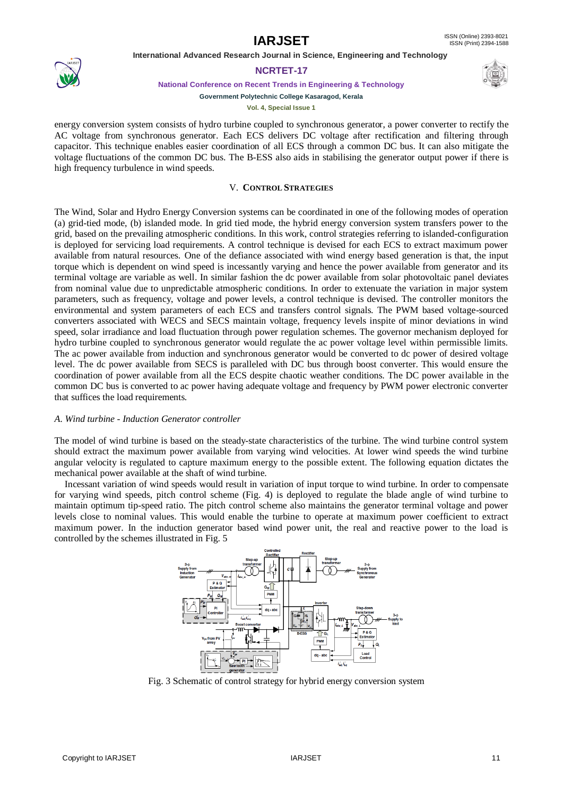

# **NCRTET-17**

**National Conference on Recent Trends in Engineering & Technology**

**Government Polytechnic College Kasaragod, Kerala**

**Vol. 4, Special Issue 1**

energy conversion system consists of hydro turbine coupled to synchronous generator, a power converter to rectify the AC voltage from synchronous generator. Each ECS delivers DC voltage after rectification and filtering through capacitor. This technique enables easier coordination of all ECS through a common DC bus. It can also mitigate the voltage fluctuations of the common DC bus. The B-ESS also aids in stabilising the generator output power if there is high frequency turbulence in wind speeds.

# V. **CONTROL STRATEGIES**

The Wind, Solar and Hydro Energy Conversion systems can be coordinated in one of the following modes of operation (a) grid-tied mode, (b) islanded mode. In grid tied mode, the hybrid energy conversion system transfers power to the grid, based on the prevailing atmospheric conditions. In this work, control strategies referring to islanded-configuration is deployed for servicing load requirements. A control technique is devised for each ECS to extract maximum power available from natural resources. One of the defiance associated with wind energy based generation is that, the input torque which is dependent on wind speed is incessantly varying and hence the power available from generator and its terminal voltage are variable as well. In similar fashion the dc power available from solar photovoltaic panel deviates from nominal value due to unpredictable atmospheric conditions. In order to extenuate the variation in major system parameters, such as frequency, voltage and power levels, a control technique is devised. The controller monitors the environmental and system parameters of each ECS and transfers control signals. The PWM based voltage-sourced converters associated with WECS and SECS maintain voltage, frequency levels inspite of minor deviations in wind speed, solar irradiance and load fluctuation through power regulation schemes. The governor mechanism deployed for hydro turbine coupled to synchronous generator would regulate the ac power voltage level within permissible limits. The ac power available from induction and synchronous generator would be converted to dc power of desired voltage level. The dc power available from SECS is paralleled with DC bus through boost converter. This would ensure the coordination of power available from all the ECS despite chaotic weather conditions. The DC power available in the common DC bus is converted to ac power having adequate voltage and frequency by PWM power electronic converter that suffices the load requirements.

# *A. Wind turbine - Induction Generator controller*

The model of wind turbine is based on the steady-state characteristics of the turbine. The wind turbine control system should extract the maximum power available from varying wind velocities. At lower wind speeds the wind turbine angular velocity is regulated to capture maximum energy to the possible extent. The following equation dictates the mechanical power available at the shaft of wind turbine.

Incessant variation of wind speeds would result in variation of input torque to wind turbine. In order to compensate for varying wind speeds, pitch control scheme (Fig. 4) is deployed to regulate the blade angle of wind turbine to maintain optimum tip-speed ratio. The pitch control scheme also maintains the generator terminal voltage and power levels close to nominal values. This would enable the turbine to operate at maximum power coefficient to extract maximum power. In the induction generator based wind power unit, the real and reactive power to the load is controlled by the schemes illustrated in Fig. 5



Fig. 3 Schematic of control strategy for hybrid energy conversion system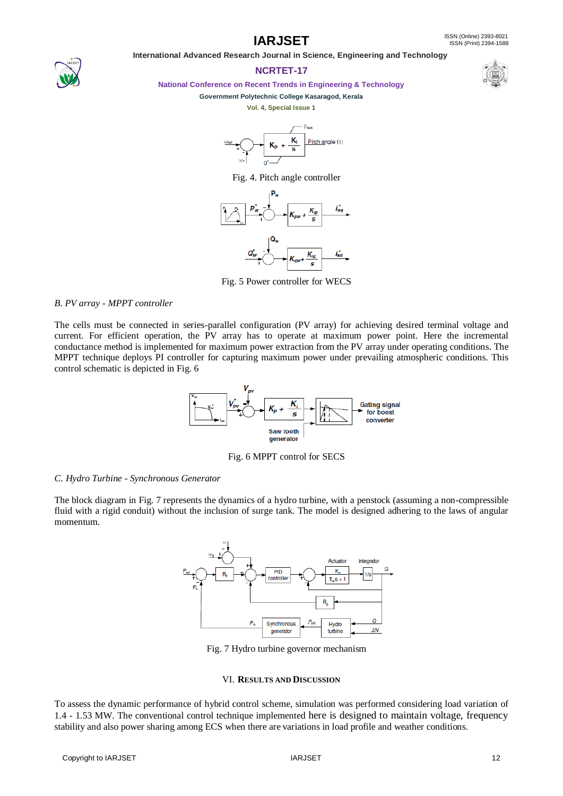**IARJSET** ISSN (Online) 2393-8021 ISSN (Print) 2394-1588

 **International Advanced Research Journal in Science, Engineering and Technology**

# **NCRTET-17**



**National Conference on Recent Trends in Engineering & Technology**

## **Government Polytechnic College Kasaragod, Kerala**

**Vol. 4, Special Issue 1**



Fig. 4. Pitch angle controller



Fig. 5 Power controller for WECS

# *B. PV array - MPPT controller*

The cells must be connected in series-parallel configuration (PV array) for achieving desired terminal voltage and current. For efficient operation, the PV array has to operate at maximum power point. Here the incremental conductance method is implemented for maximum power extraction from the PV array under operating conditions. The MPPT technique deploys PI controller for capturing maximum power under prevailing atmospheric conditions. This control schematic is depicted in Fig. 6



Fig. 6 MPPT control for SECS

# *C. Hydro Turbine - Synchronous Generator*

The block diagram in Fig. 7 represents the dynamics of a hydro turbine, with a penstock (assuming a non-compressible fluid with a rigid conduit) without the inclusion of surge tank. The model is designed adhering to the laws of angular momentum.



Fig. 7 Hydro turbine governor mechanism

# VI. **RESULTS AND DISCUSSION**

To assess the dynamic performance of hybrid control scheme, simulation was performed considering load variation of 1.4 - 1.53 MW. The conventional control technique implemented here is designed to maintain voltage, frequency stability and also power sharing among ECS when there are variations in load profile and weather conditions.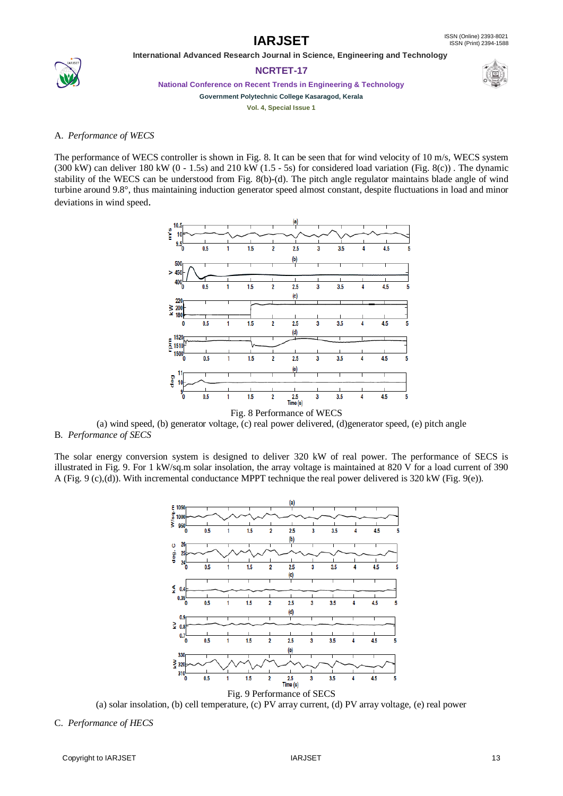

# **NCRTET-17**



**National Conference on Recent Trends in Engineering & Technology**

**Government Polytechnic College Kasaragod, Kerala**

**Vol. 4, Special Issue 1**

# A. *Performance of WECS*

The performance of WECS controller is shown in Fig. 8. It can be seen that for wind velocity of 10 m/s, WECS system (300 kW) can deliver 180 kW (0 - 1.5s) and 210 kW (1.5 - 5s) for considered load variation (Fig. 8(c)). The dynamic stability of the WECS can be understood from Fig. 8(b)-(d). The pitch angle regulator maintains blade angle of wind turbine around 9.8°, thus maintaining induction generator speed almost constant, despite fluctuations in load and minor deviations in wind speed.



(a) wind speed, (b) generator voltage, (c) real power delivered, (d)generator speed, (e) pitch angle B. *Performance of SECS*

The solar energy conversion system is designed to deliver 320 kW of real power. The performance of SECS is illustrated in Fig. 9. For 1 kW/sq.m solar insolation, the array voltage is maintained at 820 V for a load current of 390 A (Fig. 9 (c),(d)). With incremental conductance MPPT technique the real power delivered is 320 kW (Fig. 9(e)).



(a) solar insolation, (b) cell temperature, (c) PV array current, (d) PV array voltage, (e) real power

C. *Performance of HECS*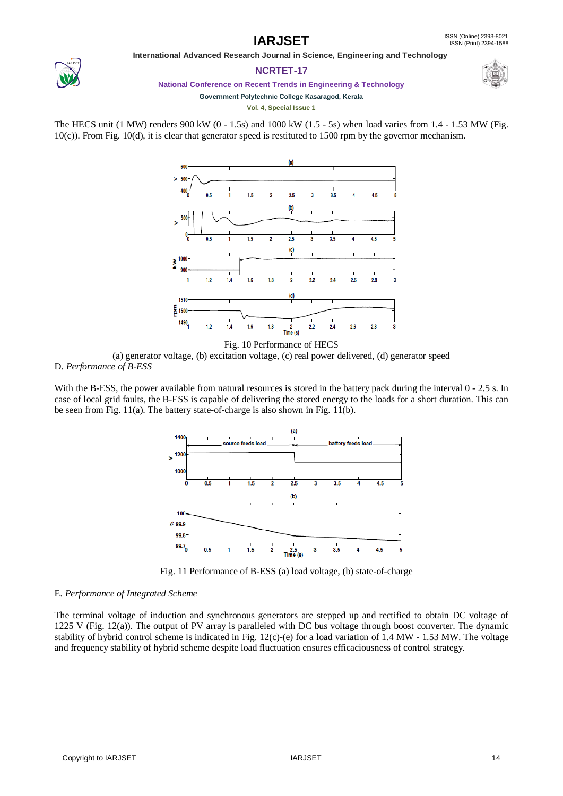

# **NCRTET-17**



**National Conference on Recent Trends in Engineering & Technology**

**Government Polytechnic College Kasaragod, Kerala**

**Vol. 4, Special Issue 1**

The HECS unit (1 MW) renders 900 kW (0 - 1.5s) and 1000 kW (1.5 - 5s) when load varies from  $1.4 - 1.53$  MW (Fig. 10(c)). From Fig. 10(d), it is clear that generator speed is restituted to 1500 rpm by the governor mechanism.



Fig. 10 Performance of HECS (a) generator voltage, (b) excitation voltage, (c) real power delivered, (d) generator speed D. *Performance of B-ESS*

With the B-ESS, the power available from natural resources is stored in the battery pack during the interval 0 - 2.5 s. In case of local grid faults, the B-ESS is capable of delivering the stored energy to the loads for a short duration. This can be seen from Fig. 11(a). The battery state-of-charge is also shown in Fig. 11(b).



Fig. 11 Performance of B-ESS (a) load voltage, (b) state-of-charge

# E*. Performance of Integrated Scheme*

The terminal voltage of induction and synchronous generators are stepped up and rectified to obtain DC voltage of 1225 V (Fig. 12(a)). The output of PV array is paralleled with DC bus voltage through boost converter. The dynamic stability of hybrid control scheme is indicated in Fig. 12(c)-(e) for a load variation of 1.4 MW - 1.53 MW. The voltage and frequency stability of hybrid scheme despite load fluctuation ensures efficaciousness of control strategy.